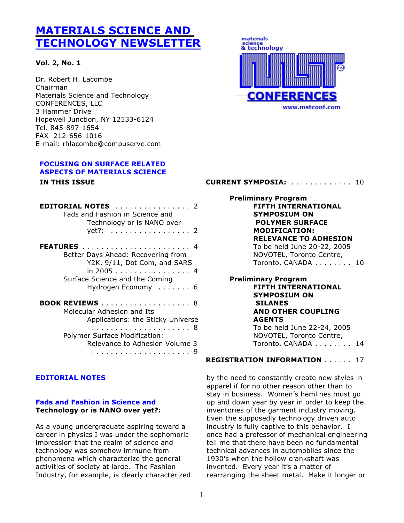# **MATERIALS SCIENCE AND TECHNOLOGY NEWSLETTER**

## **Vol. 2, No. 1**

Dr. Robert H. Lacombe Chairman Materials Science and Technology CONFERENCES, LLC 3 Hammer Drive Hopewell Junction, NY 12533-6124 Tel. 845-897-1654 FAX 212-656-1016 E-mail: rhlacombe@compuserve.com

## **FOCUSING ON SURFACE RELATED ASPECTS OF MATERIALS SCIENCE IN THIS ISSUE**

| <b>EDITORIAL NOTES</b><br>. 2<br>Fads and Fashion in Science and<br>Technology or is NANO over<br>yet?:  2        |
|-------------------------------------------------------------------------------------------------------------------|
| Better Days Ahead: Recovering from<br>Y2K, 9/11, Dot Com, and SARS<br>in 2005 4<br>Surface Science and the Coming |
| Hydrogen Economy  6                                                                                               |
| <b>BOOK REVIEWS</b><br>. 8<br>Molecular Adhesion and Its<br>Applications: the Sticky Universe                     |
| . 8<br><b>Polymer Surface Modification:</b><br>Relevance to Adhesion Volume 3<br>.                                |

## **EDITORIAL NOTES**

#### **Fads and Fashion in Science and Technology or is NANO over yet?:**

As a young undergraduate aspiring toward a career in physics I was under the sophomoric impression that the realm of science and technology was somehow immune from phenomena which characterize the general activities of society at large. The Fashion Industry, for example, is clearly characterized



## **CURRENT SYMPOSIA:** .... .... .... . 10

**Preliminary Program FIFTH INTERNATIONAL SYMPOSIUM ON POLYMER SURFACE MODIFICATION: RELEVANCE TO ADHESION** To be held June 20-22, 2005 NOVOTEL, Toronto Centre, Toronto, CANADA . . . . . . . . 10 **Preliminary Program FIFTH INTERNATIONAL SYMPOSIUM ON SILANES AND OTHER COUPLING**

> **AGENTS** To be held June 22-24, 2005 NOVOTEL, Toronto Centre, Toronto, CANADA . . . . . . . . 14

## **REGISTRATION INFORMATION** .... . . 17

by the need to constantly create new styles in apparel if for no other reason other than to stay in business. Women's hemlines must go up and down year by year in order to keep the inventories of the garment industry moving. Even the supposedly technology driven auto industry is fully captive to this behavior. I once had a professor of mechanical engineering tell me that there have been no fundamental technical advances in automobiles since the 1930's when the hollow crankshaft was invented. Every year it's a matter of rearranging the sheet metal. Make it longer or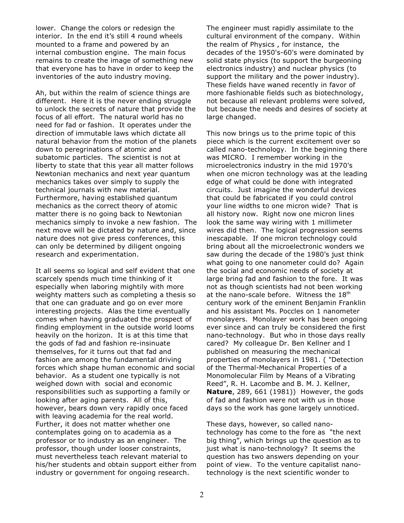lower. Change the colors or redesign the interior. In the end it's still 4 round wheels mounted to a frame and powered by an internal combustion engine. The main focus remains to create the image of something new that everyone has to have in order to keep the inventories of the auto industry moving.

Ah, but within the realm of science things are different. Here it is the never ending struggle to unlock the secrets of nature that provide the focus of all effort. The natural world has no need for fad or fashion. It operates under the direction of immutable laws which dictate all natural behavior from the motion of the planets down to peregrinations of atomic and subatomic particles. The scientist is not at liberty to state that this year all matter follows Newtonian mechanics and next year quantum mechanics takes over simply to supply the technical journals with new material. Furthermore, having established quantum mechanics as the correct theory of atomic matter there is no going back to Newtonian mechanics simply to invoke a new fashion. The next move will be dictated by nature and, since nature does not give press conferences, this can only be determined by diligent ongoing research and experimentation.

It all seems so logical and self evident that one scarcely spends much time thinking of it especially when laboring mightily with more weighty matters such as completing a thesis so that one can graduate and go on ever more interesting projects. Alas the time eventually comes when having graduated the prospect of finding employment in the outside world looms heavily on the horizon. It is at this time that the gods of fad and fashion re-insinuate themselves, for it turns out that fad and fashion are among the fundamental driving forces which shape human economic and social behavior. As a student one typically is not weighed down with social and economic responsibilities such as supporting a family or looking after aging parents. All of this, however, bears down very rapidly once faced with leaving academia for the real world. Further, it does not matter whether one contemplates going on to academia as a professor or to industry as an engineer. The professor, though under looser constraints, must nevertheless teach relevant material to his/her students and obtain support either from industry or government for ongoing research.

The engineer must rapidly assimilate to the cultural environment of the company. Within the realm of Physics , for instance, the decades of the 1950's-60's were dominated by solid state physics (to support the burgeoning electronics industry) and nuclear physics (to support the military and the power industry). These fields have waned recently in favor of more fashionable fields such as biotechnology, not because all relevant problems were solved, but because the needs and desires of society at large changed.

This now brings us to the prime topic of this piece which is the current excitement over so called nano-technology. In the beginning there was MICRO. I remember working in the microelectronics industry in the mid 1970's when one micron technology was at the leading edge of what could be done with integrated circuits. Just imagine the wonderful devices that could be fabricated if you could control your line widths to one micron wide? That is all history now. Right now one micron lines look the same way wiring with 1 millimeter wires did then. The logical progression seems inescapable. If one micron technology could bring about all the microelectronic wonders we saw during the decade of the 1980's just think what going to one nanometer could do? Again the social and economic needs of society at large bring fad and fashion to the fore. It was not as though scientists had not been working at the nano-scale before. Witness the 18<sup>th</sup> century work of the eminent Benjamin Franklin and his assistant Ms. Poccles on 1 nanometer monolayers. Monolayer work has been ongoing ever since and can truly be considered the first nano-technology. But who in those days really cared? My colleague Dr. Ben Kellner and I published on measuring the mechanical properties of monolayers in 1981. ( "Detection of the Thermal-Mechanical Properties of a Monomolecular Film by Means of a Vibrating Reed", R. H. Lacombe and B. M. J. Kellner, **Nature**, 289, 661 (1981)) However, the gods of fad and fashion were not with us in those days so the work has gone largely unnoticed.

These days, however, so called nanotechnology has come to the fore as "the next big thing", which brings up the question as to just what is nano-technology? It seems the question has two answers depending on your point of view. To the venture capitalist nanotechnology is the next scientific wonder to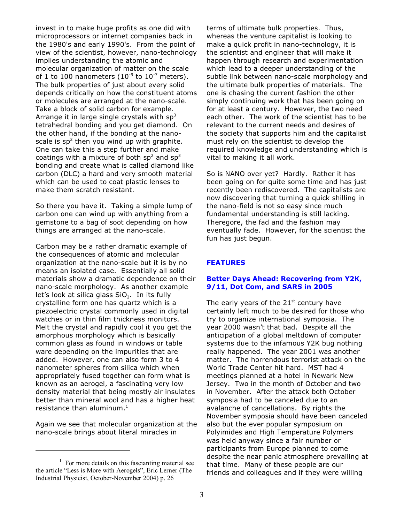invest in to make huge profits as one did with microprocessors or internet companies back in the 1980's and early 1990's. From the point of view of the scientist, however, nano-technology implies understanding the atomic and molecular organization of matter on the scale of 1 to 100 nanometers (10<sup>-9</sup> to 10<sup>-7</sup> meters). The bulk properties of just about every solid depends critically on how the constituent atoms or molecules are arranged at the nano-scale. Take a block of solid carbon for example. Arrange it in large single crystals with  $sp<sup>3</sup>$ tetrahedral bonding and you get diamond. On the other hand, if the bonding at the nanoscale is  $sp^2$  then you wind up with graphite. One can take this a step further and make coatings with a mixture of both  $sp^2$  and  $sp^3$ bonding and create what is called diamond like carbon (DLC) a hard and very smooth material which can be used to coat plastic lenses to make them scratch resistant.

So there you have it. Taking a simple lump of carbon one can wind up with anything from a gemstone to a bag of soot depending on how things are arranged at the nano-scale.

Carbon may be a rather dramatic example of the consequences of atomic and molecular organization at the nano-scale but it is by no means an isolated case. Essentially all solid materials show a dramatic dependence on their nano-scale morphology. As another example let's look at silica glass SiO<sub>2</sub>. In its fully crystalline form one has quartz which is a piezoelectric crystal commonly used in digital watches or in thin film thickness monitors. Melt the crystal and rapidly cool it you get the amorphous morphology which is basically common glass as found in windows or table ware depending on the impurities that are added. However, one can also form 3 to 4 nanometer spheres from silica which when appropriately fused together can form what is known as an aerogel, a fascinating very low density material that being mostly air insulates better than mineral wool and has a higher heat resistance than aluminum.<sup>1</sup>

Again we see that molecular organization at the nano-scale brings about literal miracles in

terms of ultimate bulk properties. Thus, whereas the venture capitalist is looking to make a quick profit in nano-technology, it is the scientist and engineer that will make it happen through research and experimentation which lead to a deeper understanding of the subtle link between nano-scale morphology and the ultimate bulk properties of materials. The one is chasing the current fashion the other simply continuing work that has been going on for at least a century. However, the two need each other. The work of the scientist has to be relevant to the current needs and desires of the society that supports him and the capitalist must rely on the scientist to develop the required knowledge and understanding which is vital to making it all work.

So is NANO over yet? Hardly. Rather it has been going on for quite some time and has just recently been rediscovered. The capitalists are now discovering that turning a quick shilling in the nano-field is not so easy since much fundamental understanding is still lacking. Theregore, the fad and the fashion may eventually fade. However, for the scientist the fun has just begun.

## **FEATURES**

#### **Better Days Ahead: Recovering from Y2K, 9/11, Dot Com, and SARS in 2005**

The early years of the  $21<sup>st</sup>$  century have certainly left much to be desired for those who try to organize international symposia. The year 2000 wasn't that bad. Despite all the anticipation of a global meltdown of computer systems due to the infamous Y2K bug nothing really happened. The year 2001 was another matter. The horrendous terrorist attack on the World Trade Center hit hard. MST had 4 meetings planned at a hotel in Newark New Jersey. Two in the month of October and two in November. After the attack both October symposia had to be canceled due to an avalanche of cancellations. By rights the November symposia should have been canceled also but the ever popular symposium on Polyimides and High Temperature Polymers was held anyway since a fair number or participants from Europe planned to come despite the near panic atmosphere prevailing at that time. Many of these people are our friends and colleagues and if they were willing

 $1$  For more details on this fascianting material see the article "Less is More with Aerogels", Eric Lerner (The Industrial Physicist, October-November 2004) p. 26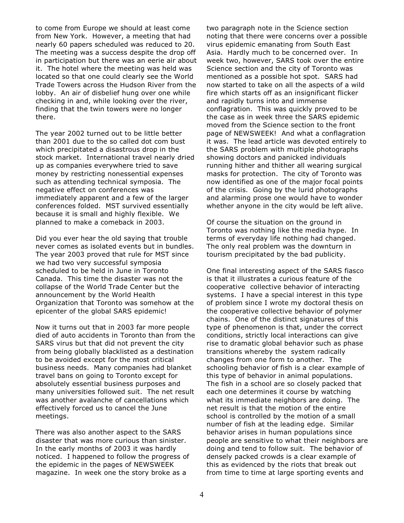to come from Europe we should at least come from New York. However, a meeting that had nearly 60 papers scheduled was reduced to 20. The meeting was a success despite the drop off in participation but there was an eerie air about it. The hotel where the meeting was held was located so that one could clearly see the World Trade Towers across the Hudson River from the lobby. An air of disbelief hung over one while checking in and, while looking over the river, finding that the twin towers were no longer there.

The year 2002 turned out to be little better than 2001 due to the so called dot com bust which precipitated a disastrous drop in the stock market. International travel nearly dried up as companies everywhere tried to save money by restricting nonessential expenses such as attending technical symposia. The negative effect on conferences was immediately apparent and a few of the larger conferences folded. MST survived essentially because it is small and highly flexible. We planned to make a comeback in 2003.

Did you ever hear the old saying that trouble never comes as isolated events but in bundles. The year 2003 proved that rule for MST since we had two very successful symposia scheduled to be held in June in Toronto Canada. This time the disaster was not the collapse of the World Trade Center but the announcement by the World Health Organization that Toronto was somehow at the epicenter of the global SARS epidemic!

Now it turns out that in 2003 far more people died of auto accidents in Toronto than from the SARS virus but that did not prevent the city from being globally blacklisted as a destination to be avoided except for the most critical business needs. Many companies had blanket travel bans on going to Toronto except for absolutely essential business purposes and many universities followed suit. The net result was another avalanche of cancellations which effectively forced us to cancel the June meetings.

There was also another aspect to the SARS disaster that was more curious than sinister. In the early months of 2003 it was hardly noticed. I happened to follow the progress of the epidemic in the pages of NEWSWEEK magazine. In week one the story broke as a

two paragraph note in the Science section noting that there were concerns over a possible virus epidemic emanating from South East Asia. Hardly much to be concerned over. In week two, however, SARS took over the entire Science section and the city of Toronto was mentioned as a possible hot spot. SARS had now started to take on all the aspects of a wild fire which starts off as an insignificant flicker and rapidly turns into and immense conflagration. This was quickly proved to be the case as in week three the SARS epidemic moved from the Science section to the front page of NEWSWEEK! And what a conflagration it was. The lead article was devoted entirely to the SARS problem with multiple photographs showing doctors and panicked individuals running hither and thither all wearing surgical masks for protection. The city of Toronto was now identified as one of the major focal points of the crisis. Going by the lurid photographs and alarming prose one would have to wonder whether anyone in the city would be left alive.

Of course the situation on the ground in Toronto was nothing like the media hype. In terms of everyday life nothing had changed. The only real problem was the downturn in tourism precipitated by the bad publicity.

One final interesting aspect of the SARS fiasco is that it illustrates a curious feature of the cooperative collective behavior of interacting systems. I have a special interest in this type of problem since I wrote my doctoral thesis on the cooperative collective behavior of polymer chains. One of the distinct signatures of this type of phenomenon is that, under the correct conditions, strictly local interactions can give rise to dramatic global behavior such as phase transitions whereby the system radically changes from one form to another. The schooling behavior of fish is a clear example of this type of behavior in animal populations. The fish in a school are so closely packed that each one determines it course by watching what its immediate neighbors are doing. The net result is that the motion of the entire school is controlled by the motion of a small number of fish at the leading edge. Similar behavior arises in human populations since people are sensitive to what their neighbors are doing and tend to follow suit. The behavior of densely packed crowds is a clear example of this as evidenced by the riots that break out from time to time at large sporting events and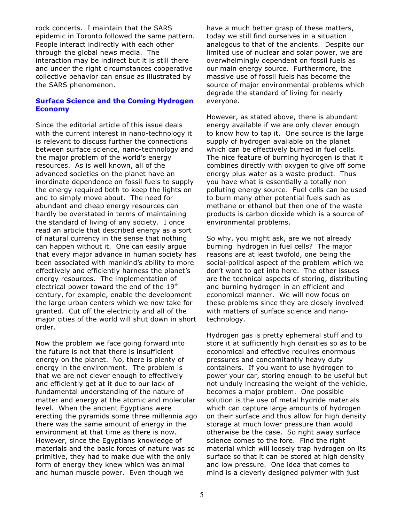rock concerts. I maintain that the SARS epidemic in Toronto followed the same pattern. People interact indirectly with each other through the global news media. The interaction may be indirect but it is still there and under the right circumstances cooperative collective behavior can ensue as illustrated by the SARS phenomenon.

#### **Surface Science and the Coming Hydrogen Economy**

Since the editorial article of this issue deals with the current interest in nano-technology it is relevant to discuss further the connections between surface science, nano-technology and the major problem of the world's energy resources. As is well known, all of the advanced societies on the planet have an inordinate dependence on fossil fuels to supply the energy required both to keep the lights on and to simply move about. The need for abundant and cheap energy resources can hardly be overstated in terms of maintaining the standard of living of any society. I once read an article that described energy as a sort of natural currency in the sense that nothing can happen without it. One can easily argue that every major advance in human society has been associated with mankind's ability to more effectively and efficiently harness the planet's energy resources. The implementation of electrical power toward the end of the 19<sup>th</sup> century, for example, enable the development the large urban centers which we now take for granted. Cut off the electricity and all of the major cities of the world will shut down in short order.

Now the problem we face going forward into the future is not that there is insufficient energy on the planet. No, there is plenty of energy in the environment. The problem is that we are not clever enough to effectively and efficiently get at it due to our lack of fundamental understanding of the nature of matter and energy at the atomic and molecular level. When the ancient Egyptians were erecting the pyramids some three millennia ago there was the same amount of energy in the environment at that time as there is now. However, since the Egyptians knowledge of materials and the basic forces of nature was so primitive, they had to make due with the only form of energy they knew which was animal and human muscle power. Even though we

have a much better grasp of these matters, today we still find ourselves in a situation analogous to that of the ancients. Despite our limited use of nuclear and solar power, we are overwhelmingly dependent on fossil fuels as our main energy source. Furthermore, the massive use of fossil fuels has become the source of major environmental problems which degrade the standard of living for nearly everyone.

However, as stated above, there is abundant energy available if we are only clever enough to know how to tap it. One source is the large supply of hydrogen available on the planet which can be effectively burned in fuel cells. The nice feature of burning hydrogen is that it combines directly with oxygen to give off some energy plus water as a waste product. Thus you have what is essentially a totally non polluting energy source. Fuel cells can be used to burn many other potential fuels such as methane or ethanol but then one of the waste products is carbon dioxide which is a source of environmental problems.

So why, you might ask, are we not already burning hydrogen in fuel cells? The major reasons are at least twofold, one being the social-political aspect of the problem which we don't want to get into here. The other issues are the technical aspects of storing, distributing and burning hydrogen in an efficient and economical manner. We will now focus on these problems since they are closely involved with matters of surface science and nanotechnology.

Hydrogen gas is pretty ephemeral stuff and to store it at sufficiently high densities so as to be economical and effective requires enormous pressures and concomitantly heavy duty containers. If you want to use hydrogen to power your car, storing enough to be useful but not unduly increasing the weight of the vehicle, becomes a major problem. One possible solution is the use of metal hydride materials which can capture large amounts of hydrogen on their surface and thus allow for high density storage at much lower pressure than would otherwise be the case. So right away surface science comes to the fore. Find the right material which will loosely trap hydrogen on its surface so that it can be stored at high density and low pressure. One idea that comes to mind is a cleverly designed polymer with just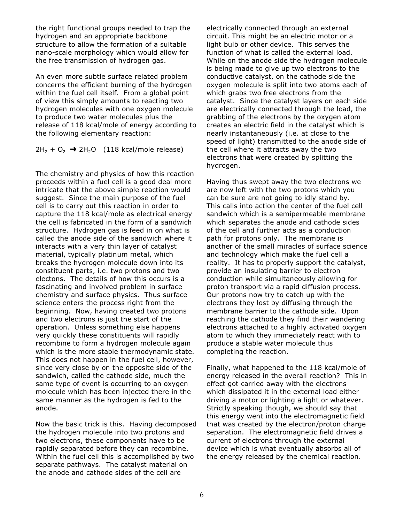the right functional groups needed to trap the hydrogen and an appropriate backbone structure to allow the formation of a suitable nano-scale morphology which would allow for the free transmission of hydrogen gas.

An even more subtle surface related problem concerns the efficient burning of the hydrogen within the fuel cell itself. From a global point of view this simply amounts to reacting two hydrogen molecules with one oxygen molecule to produce two water molecules plus the release of 118 kcal/mole of energy according to the following elementary reaction:

 $2H_2 + O_2 \rightarrow 2H_2O$  (118 kcal/mole release)

The chemistry and physics of how this reaction proceeds within a fuel cell is a good deal more intricate that the above simple reaction would suggest. Since the main purpose of the fuel cell is to carry out this reaction in order to capture the 118 kcal/mole as electrical energy the cell is fabricated in the form of a sandwich structure. Hydrogen gas is feed in on what is called the anode side of the sandwich where it interacts with a very thin layer of catalyst material, typically platinum metal, which breaks the hydrogen molecule down into its constituent parts, i.e. two protons and two electons. The details of how this occurs is a fascinating and involved problem in surface chemistry and surface physics. Thus surface science enters the process right from the beginning. Now, having created two protons and two electrons is just the start of the operation. Unless something else happens very quickly these constituents will rapidly recombine to form a hydrogen molecule again which is the more stable thermodynamic state. This does not happen in the fuel cell, however, since very close by on the opposite side of the sandwich, called the cathode side, much the same type of event is occurring to an oxygen molecule which has been injected there in the same manner as the hydrogen is fed to the anode.

Now the basic trick is this. Having decomposed the hydrogen molecule into two protons and two electrons, these components have to be rapidly separated before they can recombine. Within the fuel cell this is accomplished by two separate pathways. The catalyst material on the anode and cathode sides of the cell are

electrically connected through an external circuit. This might be an electric motor or a light bulb or other device. This serves the function of what is called the external load. While on the anode side the hydrogen molecule is being made to give up two electrons to the conductive catalyst, on the cathode side the oxygen molecule is split into two atoms each of which grabs two free electrons from the catalyst. Since the catalyst layers on each side are electrically connected through the load, the grabbing of the electrons by the oxygen atom creates an electric field in the catalyst which is nearly instantaneously (i.e. at close to the speed of light) transmitted to the anode side of the cell where it attracts away the two electrons that were created by splitting the hydrogen.

Having thus swept away the two electrons we are now left with the two protons which you can be sure are not going to idly stand by. This calls into action the center of the fuel cell sandwich which is a semipermeable membrane which separates the anode and cathode sides of the cell and further acts as a conduction path for protons only. The membrane is another of the small miracles of surface science and technology which make the fuel cell a reality. It has to properly support the catalyst, provide an insulating barrier to electron conduction while simultaneously allowing for proton transport via a rapid diffusion process. Our protons now try to catch up with the electrons they lost by diffusing through the membrane barrier to the cathode side. Upon reaching the cathode they find their wandering electrons attached to a highly activated oxygen atom to which they immediately react with to produce a stable water molecule thus completing the reaction.

Finally, what happened to the 118 kcal/mole of energy released in the overall reaction? This in effect got carried away with the electrons which dissipated it in the external load either driving a motor or lighting a light or whatever. Strictly speaking though, we should say that this energy went into the electromagnetic field that was created by the electron/proton charge separation. The electromagnetic field drives a current of electrons through the external device which is what eventually absorbs all of the energy released by the chemical reaction.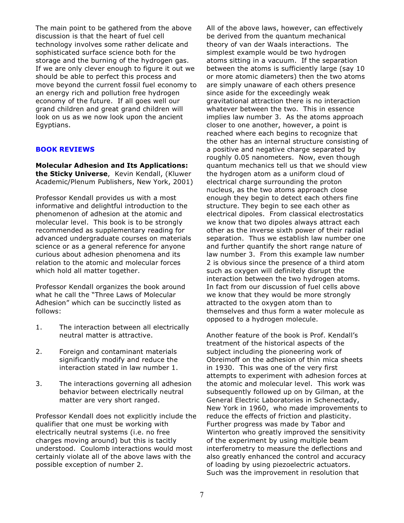The main point to be gathered from the above discussion is that the heart of fuel cell technology involves some rather delicate and sophisticated surface science both for the storage and the burning of the hydrogen gas. If we are only clever enough to figure it out we should be able to perfect this process and move beyond the current fossil fuel economy to an energy rich and pollution free hydrogen economy of the future. If all goes well our grand children and great grand children will look on us as we now look upon the ancient Egyptians.

#### **BOOK REVIEWS**

**Molecular Adhesion and Its Applications: the Sticky Universe**, Kevin Kendall, (Kluwer Academic/Plenum Publishers, New York, 2001)

Professor Kendall provides us with a most informative and delightful introduction to the phenomenon of adhesion at the atomic and molecular level. This book is to be strongly recommended as supplementary reading for advanced undergraduate courses on materials science or as a general reference for anyone curious about adhesion phenomena and its relation to the atomic and molecular forces which hold all matter together.

Professor Kendall organizes the book around what he call the "Three Laws of Molecular Adhesion" which can be succinctly listed as follows:

- 1. The interaction between all electrically neutral matter is attractive.
- 2. Foreign and contaminant materials significantly modify and reduce the interaction stated in law number 1.
- 3. The interactions governing all adhesion behavior between electrically neutral matter are very short ranged.

Professor Kendall does not explicitly include the qualifier that one must be working with electrically neutral systems (i.e. no free charges moving around) but this is tacitly understood. Coulomb interactions would most certainly violate all of the above laws with the possible exception of number 2.

All of the above laws, however, can effectively be derived from the quantum mechanical theory of van der Waals interactions. The simplest example would be two hydrogen atoms sitting in a vacuum. If the separation between the atoms is sufficiently large (say 10 or more atomic diameters) then the two atoms are simply unaware of each others presence since aside for the exceedingly weak gravitational attraction there is no interaction whatever between the two. This in essence implies law number 3. As the atoms approach closer to one another, however, a point is reached where each begins to recognize that the other has an internal structure consisting of a positive and negative charge separated by roughly 0.05 nanometers. Now, even though quantum mechanics tell us that we should view the hydrogen atom as a uniform cloud of electrical charge surrounding the proton nucleus, as the two atoms approach close enough they begin to detect each others fine structure. They begin to see each other as electrical dipoles. From classical electrostatics we know that two dipoles always attract each other as the inverse sixth power of their radial separation. Thus we establish law number one and further quantify the short range nature of law number 3. From this example law number 2 is obvious since the presence of a third atom such as oxygen will definitely disrupt the interaction between the two hydrogen atoms. In fact from our discussion of fuel cells above we know that they would be more strongly attracted to the oxygen atom than to themselves and thus form a water molecule as opposed to a hydrogen molecule.

Another feature of the book is Prof. Kendall's treatment of the historical aspects of the subject including the pioneering work of Obreimoff on the adhesion of thin mica sheets in 1930. This was one of the very first attempts to experiment with adhesion forces at the atomic and molecular level. This work was subsequently followed up on by Gilman, at the General Electric Laboratories in Schenectady, New York in 1960, who made improvements to reduce the effects of friction and plasticity. Further progress was made by Tabor and Winterton who greatly improved the sensitivity of the experiment by using multiple beam interferometry to measure the deflections and also greatly enhanced the control and accuracy of loading by using piezoelectric actuators. Such was the improvement in resolution that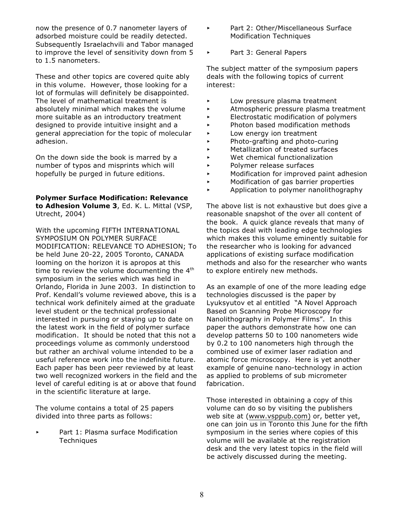now the presence of 0.7 nanometer layers of adsorbed moisture could be readily detected. Subsequently Israelachvili and Tabor managed to improve the level of sensitivity down from 5 to 1.5 nanometers.

These and other topics are covered quite ably in this volume. However, those looking for a lot of formulas will definitely be disappointed. The level of mathematical treatment is absolutely minimal which makes the volume more suitable as an introductory treatment designed to provide intuitive insight and a general appreciation for the topic of molecular adhesion.

On the down side the book is marred by a number of typos and misprints which will hopefully be purged in future editions.

#### **Polymer Surface Modification: Relevance**

**to Adhesion Volume 3**, Ed. K. L. Mittal (VSP, Utrecht, 2004)

With the upcoming FIFTH INTERNATIONAL SYMPOSIUM ON POLYMER SURFACE MODIFICATION: RELEVANCE TO ADHESION; To be held June 20-22, 2005 Toronto, CANADA looming on the horizon it is apropos at this time to review the volume documenting the  $4<sup>th</sup>$ symposium in the series which was held in Orlando, Florida in June 2003. In distinction to Prof. Kendall's volume reviewed above, this is a technical work definitely aimed at the graduate level student or the technical professional interested in pursuing or staying up to date on the latest work in the field of polymer surface modification. It should be noted that this not a proceedings volume as commonly understood but rather an archival volume intended to be a useful reference work into the indefinite future. Each paper has been peer reviewed by at least two well recognized workers in the field and the level of careful editing is at or above that found in the scientific literature at large.

The volume contains a total of 25 papers divided into three parts as follows:

Part 1: Plasma surface Modification **Techniques** 

- < Part 2: Other/Miscellaneous Surface Modification Techniques
- < Part 3: General Papers

The subject matter of the symposium papers deals with the following topics of current interest:

- **EXECUTE:** Low pressure plasma treatment
- < Atmospheric pressure plasma treatment
- < Electrostatic modification of polymers
- < Photon based modification methods
- **EXECUTE:** Low energy ion treatment
- < Photo-grafting and photo-curing
- < Metallization of treated surfaces
- $\blacktriangleright$  Wet chemical functionalization
- < Polymer release surfaces
- < Modification for improved paint adhesion
- < Modification of gas barrier properties
- < Application to polymer nanolithography

The above list is not exhaustive but does give a reasonable snapshot of the over all content of the book. A quick glance reveals that many of the topics deal with leading edge technologies which makes this volume eminently suitable for the researcher who is looking for advanced applications of existing surface modification methods and also for the researcher who wants to explore entirely new methods.

As an example of one of the more leading edge technologies discussed is the paper by Lyuksyutov et al entitled "A Novel Approach Based on Scanning Probe Microscopy for Nanolithography in Polymer Films". In this paper the authors demonstrate how one can develop patterns 50 to 100 nanometers wide by 0.2 to 100 nanometers high through the combined use of eximer laser radiation and atomic force microscopy. Here is yet another example of genuine nano-technology in action as applied to problems of sub micrometer fabrication.

Those interested in obtaining a copy of this volume can do so by visiting the publishers web site at [\(www.vsppub.com\)](http://(www.vsppub.com)) or, better yet, one can join us in Toronto this June for the fifth symposium in the series where copies of this volume will be available at the registration desk and the very latest topics in the field will be actively discussed during the meeting.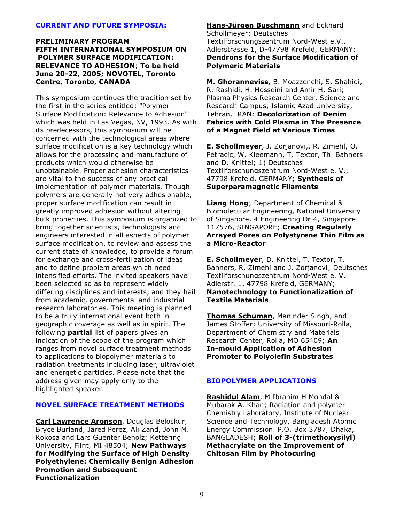#### **CURRENT AND FUTURE SYMPOSIA:**

#### **PRELIMINARY PROGRAM FIFTH INTERNATIONAL SYMPOSIUM ON POLYMER SURFACE MODIFICATION: RELEVANCE TO ADHESION**; **To be held June 20-22, 2005; NOVOTEL, Toronto Centre, Toronto, CANADA**

This symposium continues the tradition set by the first in the series entitled: "Polymer Surface Modification: Relevance to Adhesion" which was held in Las Vegas, NV, 1993. As with its predecessors, this symposium will be concerned with the technological areas where surface modification is a key technology which allows for the processing and manufacture of products which would otherwise be unobtainable. Proper adhesion characteristics are vital to the success of any practical implementation of polymer materials. Though polymers are generally not very adhesionable, proper surface modification can result in greatly improved adhesion without altering bulk properties. This symposium is organized to bring together scientists, technologists and engineers interested in all aspects of polymer surface modification, to review and assess the current state of knowledge, to provide a forum for exchange and cross-fertilization of ideas and to define problem areas which need intensified efforts. The invited speakers have been selected so as to represent widely differing disciplines and interests, and they hail from academic, governmental and industrial research laboratories. This meeting is planned to be a truly international event both in geographic coverage as well as in spirit. The following **partial** list of papers gives an indication of the scope of the program which ranges from novel surface treatment methods to applications to biopolymer materials to radiation treatments including laser, ultraviolet and energetic particles. Please note that the address given may apply only to the highlighted speaker.

#### **NOVEL SURFACE TREATMENT METHODS**

**Carl Lawrence Aronson**, Douglas Beloskur, Bryce Burland, Jared Perez, Ali Zand, John M. Kokosa and Lars Guenter Beholz; Kettering University, Flint, MI 48504; **New Pathways for Modifying the Surface of High Density Polyethylene: Chemically Benign Adhesion Promotion and Subsequent Functionalization**

**Hans-Jürgen Buschmann** and Eckhard Schollmeyer; Deutsches Textilforschungszentrum Nord-West e.V., Adlerstrasse 1, D-47798 Krefeld, GERMANY; **Dendrons for the Surface Modification of Polymeric Materials**

**M. Ghoranneviss**, B. Moazzenchi, S. Shahidi, R. Rashidi, H. Hosseini and Amir H. Sari; Plasma Physics Research Center, Science and Research Campus, Islamic Azad University, Tehran, IRAN: **Decolorization of Denim Fabrics with Cold Plasma in The Presence of a Magnet Field at Various Times**

**E. Schollmeyer**, J. Zorjanovi,, R. Zimehl, O. Petracic, W. Kleemann, T. Textor, Th. Bahners and D. Knittel; 1) Deutsches Textilforschungszentrum Nord-West e. V., 47798 Krefeld, GERMANY; **Synthesis of Superparamagnetic Filaments**

**Liang Hong**; Department of Chemical & Biomolecular Engineering, National University of Singapore, 4 Engineering Dr 4, Singapore 117576, SINGAPORE; **Creating Regularly Arrayed Pores on Polystyrene Thin Film as a Micro-Reactor**

**E. Schollmeyer**, D. Knittel, T. Textor, T. Bahners, R. Zimehl and J. Zorjanovi; Deutsches Textilforschungszentrum Nord-West e. V. Adlerstr. 1, 47798 Krefeld, GERMANY; **Nanotechnology to Functionalization of Textile Materials**

**Thomas Schuman**, Maninder Singh, and James Stoffer; University of Missouri-Rolla, Department of Chemistry and Materials Research Center, Rolla, MO 65409; **An In-mould Application of Adhesion Promoter to Polyolefin Substrates**

#### **BIOPOLYMER APPLICATIONS**

**Rashidul Alam**, M Ibrahim H Mondal & Mubarak A. Khan; Radiation and polymer Chemistry Laboratory, Institute of Nuclear Science and Technology, Bangladesh Atomic Energy Commission. P.O. Box 3787, Dhaka, BANGLADESH; **Roll of 3-(trimethoxysilyl) Methacrylate on the Improvement of Chitosan Film by Photocuring**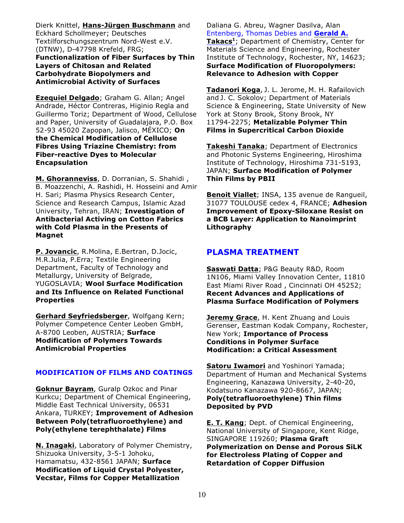Dierk Knittel, **Hans-Jürgen Buschmann** and Eckhard Schollmeyer; Deutsches Textilforschungszentrum Nord-West e.V. (DTNW), D-47798 Krefeld, FRG; **Functionalization of Fiber Surfaces by Thin Layers of Chitosan and Related Carbohydrate Biopolymers and Antimicrobial Activity of Surfaces**

**Ezequiel Delgado**; Graham G. Allan; Angel Andrade, Héctor Contreras, Higinio Regla and Guillermo Toriz; Department of Wood, Cellulose and Paper, University of Guadalajara, P.O. Box 52-93 45020 Zapopan, Jalisco, MÉXICO; **On the Chemical Modification of Cellulose Fibres Using Triazine Chemistry: from Fiber-reactive Dyes to Molecular Encapsulation**

**M. Ghoranneviss**, D. Dorranian, S. Shahidi , B. Moazzenchi, A. Rashidi, H. Hosseini and Amir H. Sari; Plasma Physics Research Center, Science and Research Campus, Islamic Azad University, Tehran, IRAN; **Investigation of Antibacterial Activing on Cotton Fabrics with Cold Plasma in the Presents of Magnet**

**P. Jovancic**, R.Molina, E.Bertran, D.Jocic, M.R.Julia, P.Erra; Textile Engineering Department, Faculty of Technology and Metallurgy, University of Belgrade, YUGOSLAVIA; **Wool Surface Modification and Its Influence on Related Functional Properties**

**Gerhard Seyfriedsberger**, Wolfgang Kern; Polymer Competence Center Leoben GmbH, A-8700 Leoben, AUSTRIA; **Surface Modification of Polymers Towards Antimicrobial Properties**

## **MODIFICATION OF FILMS AND COATINGS**

**Goknur Bayram**, Guralp Ozkoc and Pinar Kurkcu; Department of Chemical Engineering, Middle East Technical University, 06531 Ankara, TURKEY; **Improvement of Adhesion Between Poly(tetrafluoroethylene) and Poly(ethylene terephthalate) Films**

**N. Inagaki**, Laboratory of Polymer Chemistry, Shizuoka University, 3-5-1 Johoku, Hamamatsu, 432-8561 JAPAN; **Surface Modification of Liquid Crystal Polyester, Vecstar, Films for Copper Metallization**

Daliana G. Abreu, Wagner Dasilva, Alan Entenberg, Thomas Debies and **Gerald A.**

**Takacs<sup>1</sup>**; Department of Chemistry, Center for Materials Science and Engineering, Rochester Institute of Technology, Rochester, NY, 14623; **Surface Modification of Fluoropolymers: Relevance to Adhesion with Copper**

**Tadanori Koga**, J. L. Jerome, M. H. Rafailovich and J. C. Sokolov; Department of Materials Science & Engineering, State University of New York at Stony Brook, Stony Brook, NY 11794-2275; **Metalizable Polymer Thin Films in Supercritical Carbon Dioxide**

**Takeshi Tanaka**; Department of Electronics and Photonic Systems Engineering, Hiroshima Institute of Technology, Hiroshima 731-5193, JAPAN; **Surface Modification of Polymer Thin Films by PBII**

**Benoit Viallet**; INSA, 135 avenue de Rangueil, 31077 TOULOUSE cedex 4, FRANCE; **Adhesion Improvement of Epoxy-Siloxane Resist on a BCB Layer: Application to Nanoimprint Lithography**

# **PLASMA TREATMENT**

**Saswati Datta**; P&G Beauty R&D, Room 1N106, Miami Valley Innovation Center, 11810 East Miami River Road , Cincinnati OH 45252; **Recent Advances and Applications of Plasma Surface Modification of Polymers**

**Jeremy Grace**, H. Kent Zhuang and Louis Gerenser, Eastman Kodak Company, Rochester, New York; **Importance of Process Conditions in Polymer Surface Modification: a Critical Assessment**

**Satoru Iwamori** and Yoshinori Yamada; Department of Human and Mechanical Systems Engineering, Kanazawa University, 2-40-20, Kodatsuno Kanazawa 920-8667, JAPAN; **Poly(tetrafluoroethylene) Thin films Deposited by PVD**

**E. T. Kang**; Dept. of Chemical Engineering, National University of Singapore, Kent Ridge, SINGAPORE 119260; **Plasma Graft Polymerization on Dense and Porous SiLK for Electroless Plating of Copper and Retardation of Copper Diffusion**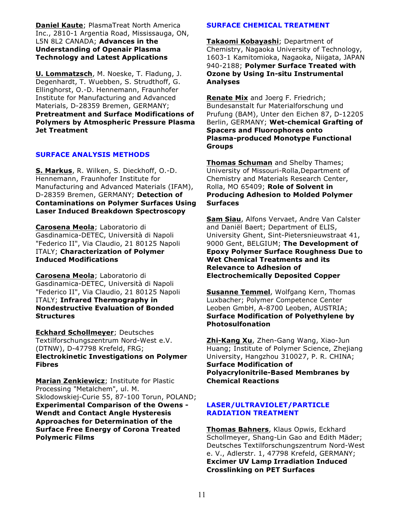**Daniel Kaute**; PlasmaTreat North America Inc., 2810-1 Argentia Road, Mississauga, ON, L5N 8L2 CANADA; **Advances in the Understanding of Openair Plasma Technology and Latest Applications**

**U. Lommatzsch**, M. Noeske, T. Fladung, J. Degenhardt, T. Wuebben, S. Strudthoff, G. Ellinghorst, O.-D. Hennemann, Fraunhofer Institute for Manufacturing and Advanced Materials, D-28359 Bremen, GERMANY; **Pretreatment and Surface Modifications of Polymers by Atmospheric Pressure Plasma Jet Treatment**

#### **SURFACE ANALYSIS METHODS**

**S. Markus**, R. Wilken, S. Dieckhoff, O.-D. Hennemann, Fraunhofer Institute for Manufacturing and Advanced Materials (IFAM), D-28359 Bremen, GERMANY; **Detection of Contaminations on Polymer Surfaces Using Laser Induced Breakdown Spectroscopy**

**Carosena Meola**; Laboratorio di Gasdinamica-DETEC, Università di Napoli "Federico II", Via Claudio, 21 80125 Napoli ITALY; **Characterization of Polymer Induced Modifications**

**Carosena Meola**; Laboratorio di Gasdinamica-DETEC, Università di Napoli "Federico II", Via Claudio, 21 80125 Napoli ITALY; **Infrared Thermography in Nondestructive Evaluation of Bonded Structures**

**Eckhard Schollmeyer**; Deutsches Textilforschungszentrum Nord-West e.V. (DTNW), D-47798 Krefeld, FRG; **Electrokinetic Investigations on Polymer Fibres**

**Marian Zenkiewicz**; Institute for Plastic Processing "Metalchem", ul. M. Sklodowskiej-Curie 55, 87-100 Torun, POLAND; **Experimental Comparison of the Owens - Wendt and Contact Angle Hysteresis Approaches for Determination of the Surface Free Energy of Corona Treated Polymeric Films**

## **SURFACE CHEMICAL TREATMENT**

**Takaomi Kobayashi**; Department of Chemistry, Nagaoka University of Technology, 1603-1 Kamitomioka, Nagaoka, Niigata, JAPAN 940-2188; **Polymer Surface Treated with Ozone by Using In-situ Instrumental Analyses**

**Renate Mix** and Joerg F. Friedrich; Bundesanstalt fur Materialforschung und Prufung (BAM), Unter den Eichen 87, D-12205 Berlin, GERMANY; **Wet-chemical Grafting of Spacers and Fluorophores onto Plasma-produced Monotype Functional Groups**

**Thomas Schuman** and Shelby Thames; University of Missouri-Rolla,Department of Chemistry and Materials Research Center, Rolla, MO 65409; **Role of Solvent in Producing Adhesion to Molded Polymer Surfaces**

**Sam Siau**, Alfons Vervaet, Andre Van Calster and Daniël Baert; Department of ELIS, University Ghent, Sint-Pietersnieuwstraat 41, 9000 Gent, BELGIUM; **The Development of Epoxy Polymer Surface Roughness Due to Wet Chemical Treatments and its Relevance to Adhesion of Electrochemically Deposited Copper**

**Susanne Temmel**, Wolfgang Kern, Thomas Luxbacher; Polymer Competence Center Leoben GmbH, A-8700 Leoben, AUSTRIA; **Surface Modification of Polyethylene by Photosulfonation**

**Zhi-Kang Xu**, Zhen-Gang Wang, Xiao-Jun Huang; Institute of Polymer Science, Zhejiang University, Hangzhou 310027, P. R. CHINA; **Surface Modification of Polyacrylonitrile-Based Membranes by Chemical Reactions**

#### **LASER/ULTRAVIOLET/PARTICLE RADIATION TREATMENT**

**Thomas Bahners**, Klaus Opwis, Eckhard Schollmeyer, Shang-Lin Gao and Edith Mäder; Deutsches Textilforschungszentrum Nord-West e. V., Adlerstr. 1, 47798 Krefeld, GERMANY; **Excimer UV Lamp Irradiation Induced Crosslinking on PET Surfaces**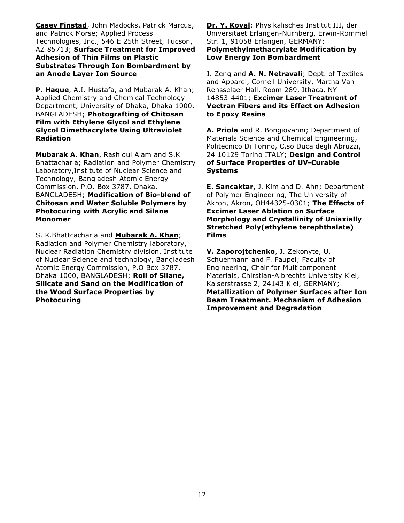**Casey Finstad**, John Madocks, Patrick Marcus, and Patrick Morse; Applied Process Technologies, Inc., 546 E 25th Street, Tucson, AZ 85713; **Surface Treatment for Improved Adhesion of Thin Films on Plastic Substrates Through Ion Bombardment by an Anode Layer Ion Source**

**P. Haque**, A.I. Mustafa, and Mubarak A. Khan; Applied Chemistry and Chemical Technology Department, University of Dhaka, Dhaka 1000, BANGLADESH; **Photografting of Chitosan Film with Ethylene Glycol and Ethylene Glycol Dimethacrylate Using Ultraviolet Radiation**

**Mubarak A. Khan**, Rashidul Alam and S.K Bhattacharia; Radiation and Polymer Chemistry Laboratory,Institute of Nuclear Science and Technology, Bangladesh Atomic Energy Commission. P.O. Box 3787, Dhaka, BANGLADESH; **Modification of Bio-blend of Chitosan and Water Soluble Polymers by Photocuring with Acrylic and Silane Monomer**

S. K.Bhattcacharia and **Mubarak A. Khan**; Radiation and Polymer Chemistry laboratory, Nuclear Radiation Chemistry division, Institute of Nuclear Science and technology, Bangladesh Atomic Energy Commission, P.O Box 3787, Dhaka 1000, BANGLADESH; **Roll of Silane, Silicate and Sand on the Modification of the Wood Surface Properties by Photocuring**

**Dr. Y. Koval**; Physikalisches Institut III, der Universitaet Erlangen-Nurnberg, Erwin-Rommel Str. 1, 91058 Erlangen, GERMANY; **Polymethylmethacrylate Modification by Low Energy Ion Bombardment**

J. Zeng and **A. N. Netravali**; Dept. of Textiles and Apparel, Cornell University, Martha Van Rensselaer Hall, Room 289, Ithaca, NY 14853-4401; **Excimer Laser Treatment of Vectran Fibers and its Effect on Adhesion to Epoxy Resins**

**A. Priola** and R. Bongiovanni; Department of Materials Science and Chemical Engineering, Politecnico Di Torino, C.so Duca degli Abruzzi, 24 10129 Torino ITALY; **Design and Control of Surface Properties of UV-Curable Systems**

**E. Sancaktar**, J. Kim and D. Ahn; Department of Polymer Engineering, The University of Akron, Akron, OH44325-0301; **The Effects of Excimer Laser Ablation on Surface Morphology and Crystallinity of Uniaxially Stretched Poly(ethylene terephthalate) Films**

**V. Zaporojtchenko**, J. Zekonyte, U. Schuermann and F. Faupel; Faculty of Engineering, Chair for Multicomponent Materials, Chirstian-Albrechts University Kiel, Kaiserstrasse 2, 24143 Kiel, GERMANY; **Metallization of Polymer Surfaces after Ion Beam Treatment. Mechanism of Adhesion Improvement and Degradation**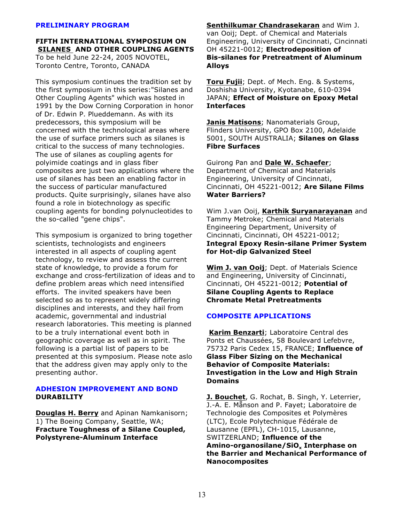#### **PRELIMINARY PROGRAM**

**FIFTH INTERNATIONAL SYMPOSIUM ON SILANES AND OTHER COUPLING AGENTS** To be held June 22-24, 2005 NOVOTEL, Toronto Centre, Toronto, CANADA

This symposium continues the tradition set by the first symposium in this series:"Silanes and Other Coupling Agents" which was hosted in 1991 by the Dow Corning Corporation in honor of Dr. Edwin P. Plueddemann. As with its predecessors, this symposium will be concerned with the technological areas where the use of surface primers such as silanes is critical to the success of many technologies. The use of silanes as coupling agents for polyimide coatings and in glass fiber composites are just two applications where the use of silanes has been an enabling factor in the success of particular manufactured products. Quite surprisingly, silanes have also found a role in biotechnology as specific coupling agents for bonding polynucleotides to the so-called "gene chips".

This symposium is organized to bring together scientists, technologists and engineers interested in all aspects of coupling agent technology, to review and assess the current state of knowledge, to provide a forum for exchange and cross-fertilization of ideas and to define problem areas which need intensified efforts. The invited speakers have been selected so as to represent widely differing disciplines and interests, and they hail from academic, governmental and industrial research laboratories. This meeting is planned to be a truly international event both in geographic coverage as well as in spirit. The following is a partial list of papers to be presented at this symposium. Please note aslo that the address given may apply only to the presenting author.

#### **ADHESION IMPROVEMENT AND BOND DURABILITY**

**Douglas H. Berry** and Apinan Namkanisorn; 1) The Boeing Company, Seattle, WA; **Fracture Toughness of a Silane Coupled, Polystyrene-Aluminum Interface**

**Senthilkumar Chandrasekaran** and Wim J. van Ooij; Dept. of Chemical and Materials Engineering, University of Cincinnati, Cincinnati OH 45221-0012; **Electrodeposition of Bis-silanes for Pretreatment of Aluminum Alloys**

**Toru Fujii**; Dept. of Mech. Eng. & Systems, Doshisha University, Kyotanabe, 610-0394 JAPAN; **Effect of Moisture on Epoxy Metal Interfaces**

**Janis Matisons**; Nanomaterials Group, Flinders University, GPO Box 2100, Adelaide 5001, SOUTH AUSTRALIA; **Silanes on Glass Fibre Surfaces**

Guirong Pan and **Dale W. Schaefer**; Department of Chemical and Materials Engineering, University of Cincinnati, Cincinnati, OH 45221-0012; **Are Silane Films Water Barriers?**

Wim J.van Ooij, **Karthik Suryanarayanan** and Tammy Metroke; Chemical and Materials Engineering Department, University of Cincinnati, Cincinnati, OH 45221-0012; **Integral Epoxy Resin-silane Primer System for Hot-dip Galvanized Steel**

**Wim J. van Ooij**; Dept. of Materials Science and Engineering, University of Cincinnati, Cincinnati, OH 45221-0012; **Potential of Silane Coupling Agents to Replace Chromate Metal Pretreatments**

#### **COMPOSITE APPLICATIONS**

**Karim Benzarti**; Laboratoire Central des Ponts et Chaussées, 58 Boulevard Lefebvre, 75732 Paris Cedex 15, FRANCE; **Influence of Glass Fiber Sizing on the Mechanical Behavior of Composite Materials: Investigation in the Low and High Strain Domains**

**J. Bouchet**, G. Rochat, B. Singh, Y. Leterrier, J.-A. E. Månson and P. Fayet; Laboratoire de Technologie des Composites et Polymères (LTC), Ecole Polytechnique Fédérale de Lausanne (EPFL), CH-1015, Lausanne, SWITZERLAND; **Influence of the Amino-organosi <sup>x</sup> lane/SiO Interphase on the Barrier and Mechanical Performance of Nanocomposites**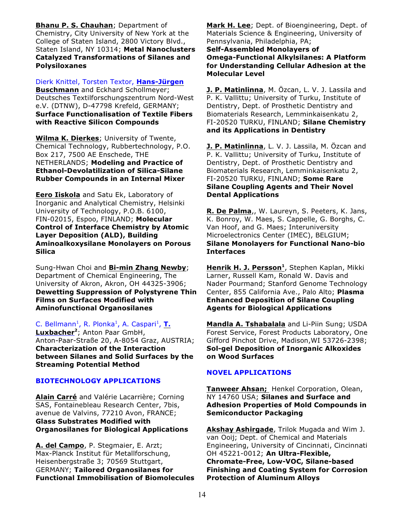**Bhanu P. S. Chauhan**; Department of Chemistry, City University of New York at the College of Staten Island, 2800 Victory Blvd., Staten Island, NY 10314; **Metal Nanoclusters Catalyzed Transformations of Silanes and Polysiloxanes**

Dierk Knittel, Torsten Textor, **Hans-Jürgen Buschmann** and Eckhard Schollmeyer; Deutsches Textilforschungszentrum Nord-West e.V. (DTNW), D-47798 Krefeld, GERMANY; **Surface Functionalisation of Textile Fibers with Reactive Silicon Compounds**

**Wilma K. Dierkes**; University of Twente, Chemical Technology, Rubbertechnology, P.O. Box 217, 7500 AE Enschede, THE NETHERLANDS; **Modeling and Practice of Ethanol-Devolatilization of Silica-Silane Rubber Compounds in an Internal Mixer**

**Eero Iiskola** and Satu Ek, Laboratory of Inorganic and Analytical Chemistry, Helsinki University of Technology, P.O.B. 6100, FIN-02015, Espoo, FINLAND; **Molecular Control of Interface Chemistry by Atomic Layer Deposition (ALD), Building Aminoalkoxysilane Monolayers on Porous Silica**

Sung-Hwan Choi and **Bi-min Zhang Newby**; Department of Chemical Engineering, The University of Akron, Akron, OH 44325-3906; **Dewetting Suppression of Polystyrene Thin Films on Surfaces Modified with Aminofunctional Organosilanes**

C. Bellmann<sup>1</sup>, R. Plonka<sup>1</sup>, A. Caspari<sup>1</sup>, T. Luxbacher<sup>2</sup>; Anton Paar GmbH, Anton-Paar-Straße 20, A-8054 Graz, AUSTRIA; **Characterization of the Interaction between Silanes and Solid Surfaces by the Streaming Potential Method**

## **BIOTECHNOLOGY APPLICATIONS**

**Alain Carré** and Valérie Lacarrière; Corning SAS, Fontainebleau Research Center, 7bis, avenue de Valvins, 77210 Avon, FRANCE; **Glass Substrates Modified with Organosilanes for Biological Applications**

**A. del Campo**, P. Stegmaier, E. Arzt; Max-Planck Institut für Metallforschung, Heisenbergstraße 3; 70569 Stuttgart, GERMANY; **Tailored Organosilanes for Functional Immobilisation of Biomolecules** **Mark H. Lee**; Dept. of Bioengineering, Dept. of Materials Science & Engineering, University of Pennsylvania, Philadelphia, PA; **Self-Assembled Monolayers of Omega-Functional Alkylsilanes: A Platform for Understanding Cellular Adhesion at the Molecular Level**

**J. P. Matinlinna**, M. Özcan, L. V. J. Lassila and P. K. Vallittu; University of Turku, Institute of Dentistry, Dept. of Prosthetic Dentistry and Biomaterials Research, Lemminkaisenkatu 2, FI-20520 TURKU, FINLAND; **Silane Chemistry and its Applications in Dentistry**

**J. P. Matinlinna**, L. V. J. Lassila, M. Özcan and P. K. Vallittu; University of Turku, Institute of Dentistry, Dept. of Prosthetic Dentistry and Biomaterials Research, Lemminkaisenkatu 2, FI-20520 TURKU, FINLAND; **Some Rare Silane Coupling Agents and Their Novel Dental Applications**

**R. De Palma**,, W. Laureyn, S. Peeters, K. Jans, K. Bonroy, W. Maes, S. Cappelle, G. Borghs, C. Van Hoof, and G. Maes; Interuniversity Microelectronics Center (IMEC), BELGIUM; **Silane Monolayers for Functional Nano-bio Interfaces**

**Henrik H. J. Persson**<sup>1</sup>, Stephen Kaplan, Mikki Larner, Russell Kam, Ronald W. Davis and Nader Pourmand; Stanford Genome Technology Center, 855 California Ave., Palo Alto; **Plasma Enhanced Deposition of Silane Coupling Agents for Biological Applications**

**Mandla A. Tshabalala** and Li-Piin Sung; USDA Forest Service, Forest Products Laboratory, One Gifford Pinchot Drive, Madison,WI 53726-2398; **Sol-gel Deposition of Inorganic Alkoxides on Wood Surfaces** 

# **NOVEL APPLICATIONS**

**Tanweer Ahsan;** Henkel Corporation, Olean, NY 14760 USA; **Silanes and Surface and Adhesion Properties of Mold Compounds in Semiconductor Packaging**

**Akshay Ashirgade**, Trilok Mugada and Wim J. van Ooij; Dept. of Chemical and Materials Engineering, University of Cincinnati, Cincinnati OH 45221-0012; **An Ultra-Flexible, Chromate-Free, Low-VOC, Silane-based Finishing and Coating System for Corrosion Protection of Aluminum Alloys**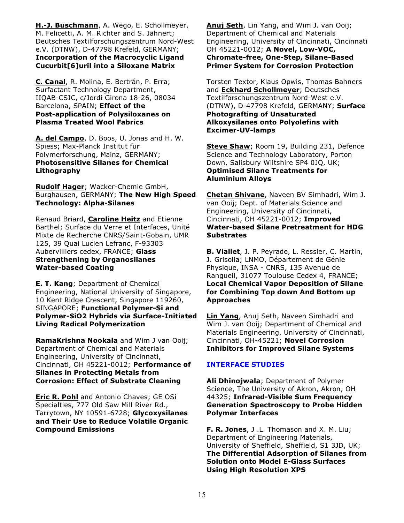**H.-J. Buschmann**, A. Wego, E. Schollmeyer, M. Felicetti, A. M. Richter and S. Jähnert; Deutsches Textilforschungszentrum Nord-West e.V. (DTNW), D-47798 Krefeld, GERMANY; **Incorporation of the Macrocyclic Ligand Cucurbit[6]uril into a Siloxane Matrix**

**C. Canal**, R. Molina, E. Bertrán, P. Erra; Surfactant Technology Department, IIQAB-CSIC, c/Jordi Girona 18-26, 08034 Barcelona, SPAIN; **Effect of the Post-application of Polysiloxanes on Plasma Treated Wool Fabrics**

**A. del Campo**, D. Boos, U. Jonas and H. W. Spiess; Max-Planck Institut für Polymerforschung, Mainz, GERMANY; **Photosensitive Silanes for Chemical Lithography**

**Rudolf Hager**; Wacker-Chemie GmbH, Burghausen, GERMANY; **The New High Speed Technology: Alpha-Silanes**

Renaud Briard, **Caroline Heitz** and Etienne Barthel; Surface du Verre et Interfaces, Unité Mixte de Recherche CNRS/Saint-Gobain, UMR 125, 39 Quai Lucien Lefranc, F-93303 Aubervilliers cedex, FRANCE; **Glass Strengthening by Organosilanes Water-based Coating**

**E. T. Kang**; Department of Chemical Engineering, National University of Singapore, 10 Kent Ridge Crescent, Singapore 119260, SINGAPORE; **Functional Polymer-Si and Polymer-SiO2 Hybrids via Surface-Initiated Living Radical Polymerization**

**RamaKrishna Nookala** and Wim J van Ooij; Department of Chemical and Materials Engineering, University of Cincinnati, Cincinnati, OH 45221-0012; **Performance of Silanes in Protecting Metals from Corrosion: Effect of Substrate Cleaning**

**Eric R. Pohl** and Antonio Chaves; GE OSi Specialties, 777 Old Saw Mill River Rd., Tarrytown, NY 10591-6728; **Glycoxysilanes and Their Use to Reduce Volatile Organic Compound Emissions**

**Anuj Seth**, Lin Yang, and Wim J. van Ooij; Department of Chemical and Materials Engineering, University of Cincinnati, Cincinnati OH 45221-0012; **A Novel, Low-VOC, Chromate-free, One-Step, Silane-Based Primer System for Corrosion Protection**

Torsten Textor, Klaus Opwis, Thomas Bahners and **Eckhard Schollmeyer**; Deutsches Textilforschungszentrum Nord-West e.V. (DTNW), D-47798 Krefeld, GERMANY; **Surface Photografting of Unsaturated Alkoxysilanes onto Polyolefins with Excimer-UV-lamps**

**Steve Shaw**; Room 19, Building 231, Defence Science and Technology Laboratory, Porton Down, Salisbury Wiltshire SP4 0JQ, UK; **Optimised Silane Treatments for Aluminium Alloys**

**Chetan Shivane**, Naveen BV Simhadri, Wim J. van Ooij; Dept. of Materials Science and Engineering, University of Cincinnati, Cincinnati, OH 45221-0012; **Improved Water-based Silane Pretreatment for HDG Substrates**

**B. Viallet**, J. P. Peyrade, L. Ressier, C. Martin, J. Grisolia; LNMO, Département de Génie Physique, INSA - CNRS, 135 Avenue de Rangueil, 31077 Toulouse Cedex 4, FRANCE; **Local Chemical Vapor Deposition of Silane for Combining Top down And Bottom up Approaches**

**Lin Yang**, Anuj Seth, Naveen Simhadri and Wim J. van Ooij; Department of Chemical and Materials Engineering, University of Cincinnati, Cincinnati, OH-45221; **Novel Corrosion Inhibitors for Improved Silane Systems**

## **INTERFACE STUDIES**

**Ali Dhinojwala**; Department of Polymer Science, The University of Akron, Akron, OH 44325; **Infrared-Visible Sum Frequency Generation Spectroscopy to Probe Hidden Polymer Interfaces**

**F. R. Jones**, J .L. Thomason and X. M. Liu; Department of Engineering Materials, University of Sheffield, Sheffield, S1 3JD, UK; **The Differential Adsorption of Silanes from Solution onto Model E-Glass Surfaces Using High Resolution XPS**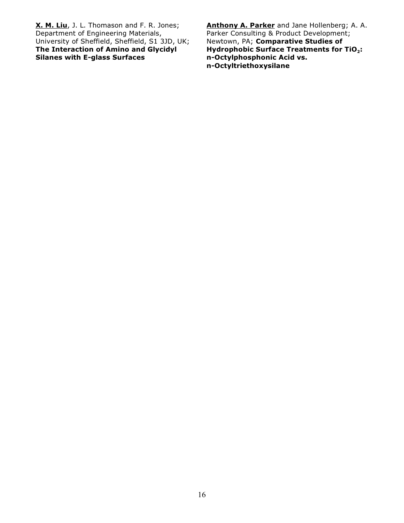**X. M. Liu**, J. L. Thomason and F. R. Jones; Department of Engineering Materials, University of Sheffield, Sheffield, S1 3JD, UK; **The Interaction of Amino and Glycidyl Silanes with E-glass Surfaces**

**Anthony A. Parker** and Jane Hollenberg; A. A. Parker Consulting & Product Development; Newtown, PA; **Comparative Studies of Hydrophobic Surface <sup>2</sup> Treatments for TiO : n-Octylphosphonic Acid vs. n-Octyltriethoxysilane**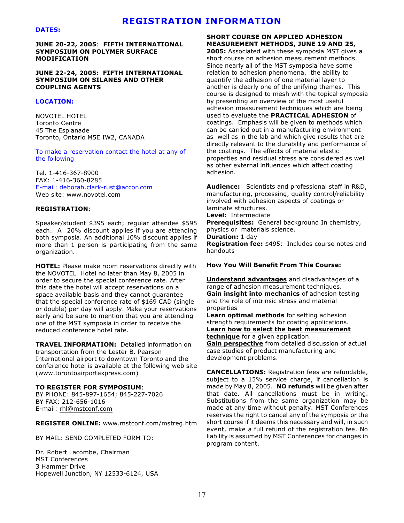# **REGISTRATION INFORMATION**

#### **DATES:**

**JUNE 20-22, 2005**: **FIFTH INTERNATIONAL SYMPOSIUM ON POLYMER SURFACE MODIFICATION**

#### **JUNE 22-24, 2005: FIFTH INTERNATIONAL SYMPOSIUM ON SILANES AND OTHER COUPLING AGENTS**

#### **LOCATION:**

NOVOTEL HOTEL Toronto Centre 45 The Esplanade Toronto, Ontario M5E IW2, CANADA

To make a reservation contact the hotel at any of the following

Tel. 1-416-367-8900 FAX: 1-416-360-8285 E-mail: deborah.clark-rust@accor.com Web site: www.novotel.com

#### **REGISTRATION**:

Speaker/student \$395 each; regular attendee \$595 each. A 20% discount applies if you are attending both symposia. An additional 10% discount applies if more than 1 person is participating from the same organization.

**HOTEL:** Please make room reservations directly with the NOVOTEL Hotel no later than May 8, 2005 in order to secure the special conference rate. After this date the hotel will accept reservations on a space available basis and they cannot guarantee that the special conference rate of \$169 CAD (single or double) per day will apply. Make your reservations early and be sure to mention that you are attending one of the MST symposia in order to receive the reduced conference hotel rate.

**TRAVEL INFORMATION:** Detailed information on transportation from the Lester B. Pearson International airport to downtown Toronto and the conference hotel is available at the following web site (www.torontoairportexpress.com)

#### **TO REGISTER FOR SYMPOSIUM**:

BY PHONE: 845-897-1654; 845-227-7026 BY FAX: 212-656-1016 E-mail: [rhl@mstconf.com](#page-16-0)

#### **REGISTER ONLINE:** [www.mstconf.com/mstreg.htm](#page-16-0)

BY MAIL: SEND COMPLETED FORM TO:

<span id="page-16-0"></span>Dr. Robert Lacombe, Chairman MST Conferences 3 Hammer Drive Hopewell Junction, NY 12533-6124, USA

#### **SHORT COURSE ON APPLIED ADHESION MEASUREMENT METHODS, JUNE 19 AND 25,**

**2005:** Associated with these symposia MST gives a short course on adhesion measurement methods. Since nearly all of the MST symposia have some relation to adhesion phenomena, the ability to quantify the adhesion of one material layer to another is clearly one of the unifying themes. This course is designed to mesh with the topical symposia by presenting an overview of the most useful adhesion measurement techniques which are being used to evaluate the **PRACTICAL ADHESION** of coatings. Emphasis will be given to methods which can be carried out in a manufacturing environment as well as in the lab and which give results that are directly relevant to the durability and performance of the coatings. The effects of material elastic properties and residual stress are considered as well as other external influences which affect coating adhesion.

**Audience:** Scientists and professional staff in R&D, manufacturing, processing, quality control/reliability involved with adhesion aspects of coatings or laminate structures.

**Level:** Intermediate

**Prerequisites:** General background In chemistry, physics or materials science.

**Duration:** 1 day

**Registration fee:** \$495: Includes course notes and handouts

#### **How You Will Benefit From This Course:**

**Understand advantages** and disadvantages of a range of adhesion measurement techniques. **Gain insight into mechanics** of adhesion testing and the role of intrinsic stress and material properties

**Learn optimal methods** for setting adhesion strength requirements for coating applications. **Learn how to select the best measurement technique** for a given application.

**Gain perspective** from detailed discussion of actual case studies of product manufacturing and development problems.

**CANCELLATIONS:** Registration fees are refundable, subject to a 15% service charge, if cancellation is made by May 8, 2005. **NO refunds** will be given after that date. All cancellations must be in writing. Substitutions from the same organization may be made at any time without penalty. MST Conferences reserves the right to cancel any of the symposia or the short course if it deems this necessary and will, in such event, make a full refund of the registration fee. No liability is assumed by MST Conferences for changes in program content.